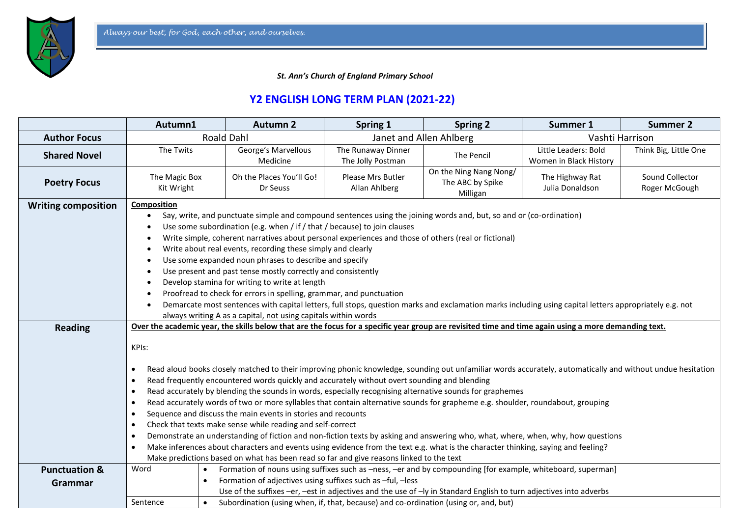*St. Ann's Church of England Primary School*

## **Y2 ENGLISH LONG TERM PLAN (2021-22)**

|                            | Autumn1                                                                                                                                                                                                                                                                                                                                                                                                                                                                                                                                                                                                                                                                                                                                                                                                                                                                                                                                                                                                                                                                                                                      | <b>Autumn 2</b>                                                                                                                                                                  | Spring 1                                | <b>Spring 2</b>                                        | Summer 1                                       | <b>Summer 2</b>                  |  |
|----------------------------|------------------------------------------------------------------------------------------------------------------------------------------------------------------------------------------------------------------------------------------------------------------------------------------------------------------------------------------------------------------------------------------------------------------------------------------------------------------------------------------------------------------------------------------------------------------------------------------------------------------------------------------------------------------------------------------------------------------------------------------------------------------------------------------------------------------------------------------------------------------------------------------------------------------------------------------------------------------------------------------------------------------------------------------------------------------------------------------------------------------------------|----------------------------------------------------------------------------------------------------------------------------------------------------------------------------------|-----------------------------------------|--------------------------------------------------------|------------------------------------------------|----------------------------------|--|
| <b>Author Focus</b>        | <b>Roald Dahl</b>                                                                                                                                                                                                                                                                                                                                                                                                                                                                                                                                                                                                                                                                                                                                                                                                                                                                                                                                                                                                                                                                                                            |                                                                                                                                                                                  | Janet and Allen Ahlberg                 |                                                        | Vashti Harrison                                |                                  |  |
| <b>Shared Novel</b>        | The Twits                                                                                                                                                                                                                                                                                                                                                                                                                                                                                                                                                                                                                                                                                                                                                                                                                                                                                                                                                                                                                                                                                                                    | George's Marvellous<br>Medicine                                                                                                                                                  | The Runaway Dinner<br>The Jolly Postman | The Pencil                                             | Little Leaders: Bold<br>Women in Black History | Think Big, Little One            |  |
| <b>Poetry Focus</b>        | The Magic Box<br>Kit Wright                                                                                                                                                                                                                                                                                                                                                                                                                                                                                                                                                                                                                                                                                                                                                                                                                                                                                                                                                                                                                                                                                                  | Oh the Places You'll Go!<br>Dr Seuss                                                                                                                                             | Please Mrs Butler<br>Allan Ahlberg      | On the Ning Nang Nong/<br>The ABC by Spike<br>Milligan | The Highway Rat<br>Julia Donaldson             | Sound Collector<br>Roger McGough |  |
| <b>Writing composition</b> | Composition<br>Say, write, and punctuate simple and compound sentences using the joining words and, but, so and or (co-ordination)<br>Use some subordination (e.g. when / if / that / because) to join clauses<br>Write simple, coherent narratives about personal experiences and those of others (real or fictional)<br>Write about real events, recording these simply and clearly<br>Use some expanded noun phrases to describe and specify<br>Use present and past tense mostly correctly and consistently<br>Develop stamina for writing to write at length<br>Proofread to check for errors in spelling, grammar, and punctuation<br>Demarcate most sentences with capital letters, full stops, question marks and exclamation marks including using capital letters appropriately e.g. not<br>always writing A as a capital, not using capitals within words                                                                                                                                                                                                                                                         |                                                                                                                                                                                  |                                         |                                                        |                                                |                                  |  |
| <b>Reading</b>             | Over the academic year, the skills below that are the focus for a specific year group are revisited time and time again using a more demanding text.                                                                                                                                                                                                                                                                                                                                                                                                                                                                                                                                                                                                                                                                                                                                                                                                                                                                                                                                                                         |                                                                                                                                                                                  |                                         |                                                        |                                                |                                  |  |
|                            | KPIs:<br>Read aloud books closely matched to their improving phonic knowledge, sounding out unfamiliar words accurately, automatically and without undue hesitation<br>$\bullet$<br>Read frequently encountered words quickly and accurately without overt sounding and blending<br>$\bullet$<br>Read accurately by blending the sounds in words, especially recognising alternative sounds for graphemes<br>$\bullet$<br>Read accurately words of two or more syllables that contain alternative sounds for grapheme e.g. shoulder, roundabout, grouping<br>$\bullet$<br>Sequence and discuss the main events in stories and recounts<br>$\bullet$<br>Check that texts make sense while reading and self-correct<br>$\bullet$<br>Demonstrate an understanding of fiction and non-fiction texts by asking and answering who, what, where, when, why, how questions<br>$\bullet$<br>Make inferences about characters and events using evidence from the text e.g. what is the character thinking, saying and feeling?<br>$\bullet$<br>Make predictions based on what has been read so far and give reasons linked to the text |                                                                                                                                                                                  |                                         |                                                        |                                                |                                  |  |
| <b>Punctuation &amp;</b>   | Word                                                                                                                                                                                                                                                                                                                                                                                                                                                                                                                                                                                                                                                                                                                                                                                                                                                                                                                                                                                                                                                                                                                         | Formation of nouns using suffixes such as -ness, -er and by compounding [for example, whiteboard, superman]<br>$\bullet$                                                         |                                         |                                                        |                                                |                                  |  |
| Grammar                    |                                                                                                                                                                                                                                                                                                                                                                                                                                                                                                                                                                                                                                                                                                                                                                                                                                                                                                                                                                                                                                                                                                                              | Formation of adjectives using suffixes such as -ful, -less<br>Use of the suffixes -er, -est in adjectives and the use of -ly in Standard English to turn adjectives into adverbs |                                         |                                                        |                                                |                                  |  |
|                            | Sentence                                                                                                                                                                                                                                                                                                                                                                                                                                                                                                                                                                                                                                                                                                                                                                                                                                                                                                                                                                                                                                                                                                                     | Subordination (using when, if, that, because) and co-ordination (using or, and, but)<br>$\bullet$                                                                                |                                         |                                                        |                                                |                                  |  |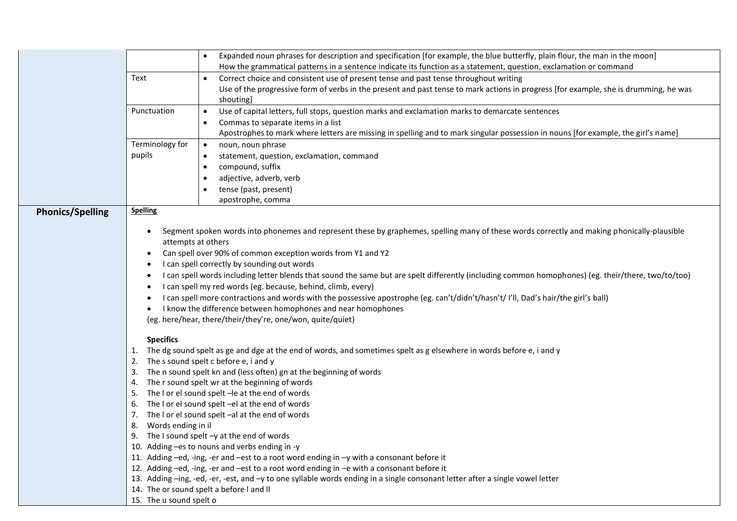|                         | Expanded noun phrases for description and specification [for example, the blue butterfly, plain flour, the man in the moon]<br>How the grammatical patterns in a sentence indicate its function as a statement, question, exclamation or command |  |  |  |  |  |
|-------------------------|--------------------------------------------------------------------------------------------------------------------------------------------------------------------------------------------------------------------------------------------------|--|--|--|--|--|
|                         | Text<br>Correct choice and consistent use of present tense and past tense throughout writing<br>$\bullet$                                                                                                                                        |  |  |  |  |  |
|                         | Use of the progressive form of verbs in the present and past tense to mark actions in progress [for example, she is drumming, he was<br>shouting]                                                                                                |  |  |  |  |  |
|                         | Punctuation<br>Use of capital letters, full stops, question marks and exclamation marks to demarcate sentences<br>$\bullet$<br>Commas to separate items in a list                                                                                |  |  |  |  |  |
|                         | Apostrophes to mark where letters are missing in spelling and to mark singular possession in nouns [for example, the girl's name]                                                                                                                |  |  |  |  |  |
|                         | Terminology for<br>$\bullet$<br>noun, noun phrase                                                                                                                                                                                                |  |  |  |  |  |
|                         | pupils<br>statement, question, exclamation, command<br>$\bullet$                                                                                                                                                                                 |  |  |  |  |  |
|                         | compound, suffix<br>$\bullet$                                                                                                                                                                                                                    |  |  |  |  |  |
|                         | adjective, adverb, verb<br>٠                                                                                                                                                                                                                     |  |  |  |  |  |
|                         | tense (past, present)                                                                                                                                                                                                                            |  |  |  |  |  |
|                         | apostrophe, comma                                                                                                                                                                                                                                |  |  |  |  |  |
| <b>Phonics/Spelling</b> | <b>Spelling</b>                                                                                                                                                                                                                                  |  |  |  |  |  |
|                         | Segment spoken words into phonemes and represent these by graphemes, spelling many of these words correctly and making phonically-plausible<br>٠<br>attempts at others                                                                           |  |  |  |  |  |
|                         | Can spell over 90% of common exception words from Y1 and Y2<br>I can spell correctly by sounding out words                                                                                                                                       |  |  |  |  |  |
|                         |                                                                                                                                                                                                                                                  |  |  |  |  |  |
|                         | I can spell words including letter blends that sound the same but are spelt differently (including common homophones) (eg. their/there, two/to/too)                                                                                              |  |  |  |  |  |
|                         | I can spell my red words (eg. because, behind, climb, every)                                                                                                                                                                                     |  |  |  |  |  |
|                         | I can spell more contractions and words with the possessive apostrophe (eg. can't/didn't/hasn't/ I'll, Dad's hair/the girl's ball)<br>I know the difference between homophones and near homophones                                               |  |  |  |  |  |
|                         | (eg. here/hear, there/their/they're, one/won, quite/quiet)                                                                                                                                                                                       |  |  |  |  |  |
|                         |                                                                                                                                                                                                                                                  |  |  |  |  |  |
|                         | <b>Specifics</b>                                                                                                                                                                                                                                 |  |  |  |  |  |
|                         | The dg sound spelt as ge and dge at the end of words, and sometimes spelt as g elsewhere in words before e, i and y<br>1.                                                                                                                        |  |  |  |  |  |
|                         | The s sound spelt c before e, i and y<br>2.                                                                                                                                                                                                      |  |  |  |  |  |
|                         | The n sound spelt kn and (less often) gn at the beginning of words<br>3.<br>4.                                                                                                                                                                   |  |  |  |  |  |
|                         | The r sound spelt wr at the beginning of words<br>The I or el sound spelt - le at the end of words                                                                                                                                               |  |  |  |  |  |
|                         | The I or el sound spelt -el at the end of words<br>6.                                                                                                                                                                                            |  |  |  |  |  |
|                         | The I or el sound spelt -al at the end of words<br>7.                                                                                                                                                                                            |  |  |  |  |  |
|                         | Words ending in il                                                                                                                                                                                                                               |  |  |  |  |  |
|                         | 9. The I sound spelt $-y$ at the end of words                                                                                                                                                                                                    |  |  |  |  |  |
|                         | 10. Adding -es to nouns and verbs ending in -y                                                                                                                                                                                                   |  |  |  |  |  |
|                         | 11. Adding -ed, -ing, -er and -est to a root word ending in -y with a consonant before it                                                                                                                                                        |  |  |  |  |  |
|                         | 12. Adding -ed, -ing, -er and -est to a root word ending in -e with a consonant before it                                                                                                                                                        |  |  |  |  |  |
|                         | 13. Adding -ing, -ed, -er, -est, and -y to one syllable words ending in a single consonant letter after a single vowel letter                                                                                                                    |  |  |  |  |  |
|                         | 14. The or sound spelt a before I and II                                                                                                                                                                                                         |  |  |  |  |  |
|                         | 15. The u sound spelt o                                                                                                                                                                                                                          |  |  |  |  |  |